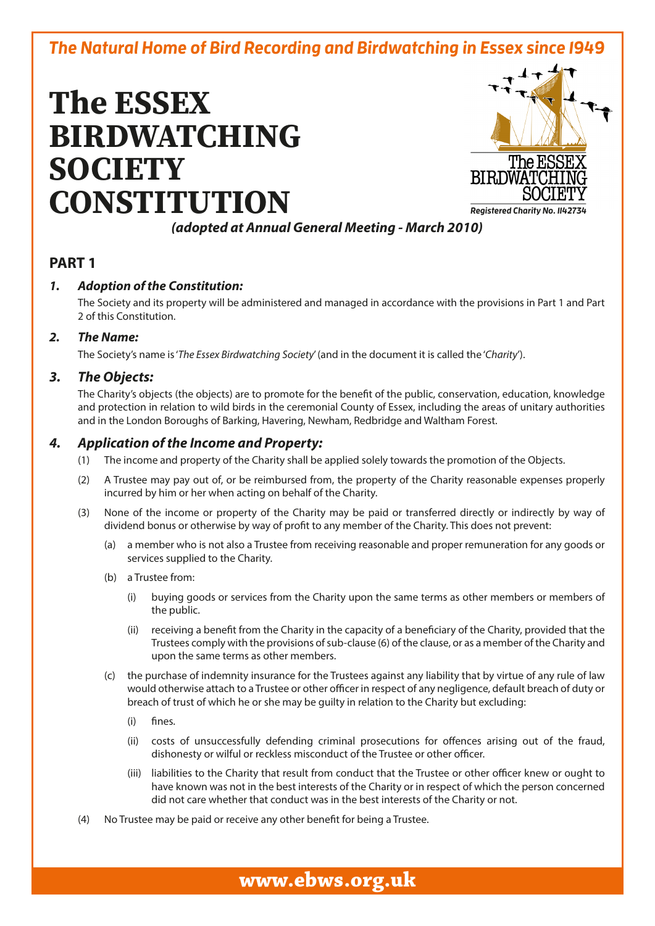# **The ESSEX BIRDWATCHING SOCIETY CONSTITUTION**



*(adopted at Annual General Meeting - March 2010)*

## **PART 1**

### *1. Adoption of the Constitution:*

The Society and its property will be administered and managed in accordance with the provisions in Part 1 and Part 2 of this Constitution.

### *2. The Name:*

The Society's name is '*The Essex Birdwatching Society*' (and in the document it is called the '*Charity*').

### *3. The Objects:*

The Charity's objects (the objects) are to promote for the benefit of the public, conservation, education, knowledge and protection in relation to wild birds in the ceremonial County of Essex, including the areas of unitary authorities and in the London Boroughs of Barking, Havering, Newham, Redbridge and Waltham Forest.

### *4. Application of the Income and Property:*

- (1) The income and property of the Charity shall be applied solely towards the promotion of the Objects.
- (2) A Trustee may pay out of, or be reimbursed from, the property of the Charity reasonable expenses properly incurred by him or her when acting on behalf of the Charity.
- (3) None of the income or property of the Charity may be paid or transferred directly or indirectly by way of dividend bonus or otherwise by way of profit to any member of the Charity. This does not prevent:
	- (a) a member who is not also a Trustee from receiving reasonable and proper remuneration for any goods or services supplied to the Charity.
	- (b) a Trustee from:
		- (i) buying goods or services from the Charity upon the same terms as other members or members of the public.
		- (ii) receiving a benefit from the Charity in the capacity of a beneficiary of the Charity, provided that the Trustees comply with the provisions of sub-clause (6) of the clause, or as a member of the Charity and upon the same terms as other members.
	- (c) the purchase of indemnity insurance for the Trustees against any liability that by virtue of any rule of law would otherwise attach to a Trustee or other officer in respect of any negligence, default breach of duty or breach of trust of which he or she may be guilty in relation to the Charity but excluding:
		- (i) fines.
		- (ii) costs of unsuccessfully defending criminal prosecutions for offences arising out of the fraud, dishonesty or wilful or reckless misconduct of the Trustee or other officer.
		- (iii) liabilities to the Charity that result from conduct that the Trustee or other officer knew or ought to have known was not in the best interests of the Charity or in respect of which the person concerned did not care whether that conduct was in the best interests of the Charity or not.
- (4) No Trustee may be paid or receive any other benefit for being a Trustee.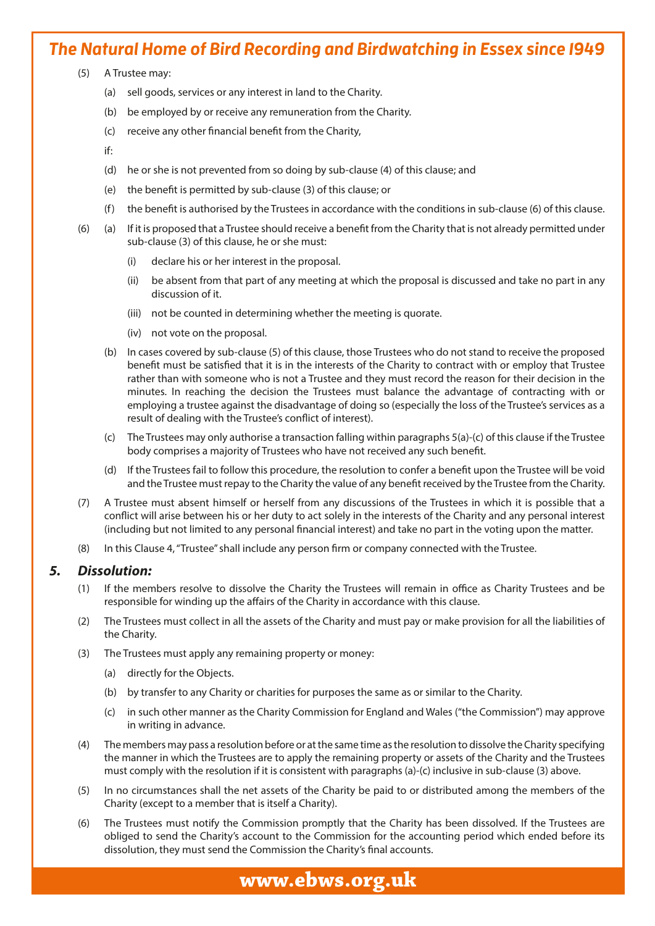- (5) A Trustee may:
	- (a) sell goods, services or any interest in land to the Charity.
	- (b) be employed by or receive any remuneration from the Charity.
	- (c) receive any other financial benefit from the Charity,
	- if:
	- (d) he or she is not prevented from so doing by sub-clause (4) of this clause; and
	- (e) the benefit is permitted by sub-clause (3) of this clause; or
	- (f) the benefit is authorised by the Trustees in accordance with the conditions in sub-clause (6) of this clause.
- (6) (a) If it is proposed that a Trustee should receive a benefit from the Charity that is not already permitted under sub-clause (3) of this clause, he or she must:
	- (i) declare his or her interest in the proposal.
	- (ii) be absent from that part of any meeting at which the proposal is discussed and take no part in any discussion of it.
	- (iii) not be counted in determining whether the meeting is quorate.
	- (iv) not vote on the proposal.
	- (b) In cases covered by sub-clause (5) of this clause, those Trustees who do not stand to receive the proposed benefit must be satisfied that it is in the interests of the Charity to contract with or employ that Trustee rather than with someone who is not a Trustee and they must record the reason for their decision in the minutes. In reaching the decision the Trustees must balance the advantage of contracting with or employing a trustee against the disadvantage of doing so (especially the loss of the Trustee's services as a result of dealing with the Trustee's conflict of interest).
	- (c) The Trustees may only authorise a transaction falling within paragraphs 5(a)-(c) of this clause if the Trustee body comprises a majority of Trustees who have not received any such benefit.
	- (d) If the Trustees fail to follow this procedure, the resolution to confer a benefit upon the Trustee will be void and the Trustee must repay to the Charity the value of any benefit received by the Trustee from the Charity.
- (7) A Trustee must absent himself or herself from any discussions of the Trustees in which it is possible that a conflict will arise between his or her duty to act solely in the interests of the Charity and any personal interest (including but not limited to any personal financial interest) and take no part in the voting upon the matter.
- (8) In this Clause 4, "Trustee" shall include any person firm or company connected with the Trustee.

#### *5. Dissolution:*

- (1) If the members resolve to dissolve the Charity the Trustees will remain in office as Charity Trustees and be responsible for winding up the affairs of the Charity in accordance with this clause.
- (2) The Trustees must collect in all the assets of the Charity and must pay or make provision for all the liabilities of the Charity.
- (3) The Trustees must apply any remaining property or money:
	- (a) directly for the Objects.
	- (b) by transfer to any Charity or charities for purposes the same as or similar to the Charity.
	- (c) in such other manner as the Charity Commission for England and Wales ("the Commission") may approve in writing in advance.
- (4) The members may pass a resolution before or at the same time as the resolution to dissolve the Charity specifying the manner in which the Trustees are to apply the remaining property or assets of the Charity and the Trustees must comply with the resolution if it is consistent with paragraphs (a)-(c) inclusive in sub-clause (3) above.
- (5) In no circumstances shall the net assets of the Charity be paid to or distributed among the members of the Charity (except to a member that is itself a Charity).
- (6) The Trustees must notify the Commission promptly that the Charity has been dissolved. If the Trustees are obliged to send the Charity's account to the Commission for the accounting period which ended before its dissolution, they must send the Commission the Charity's final accounts.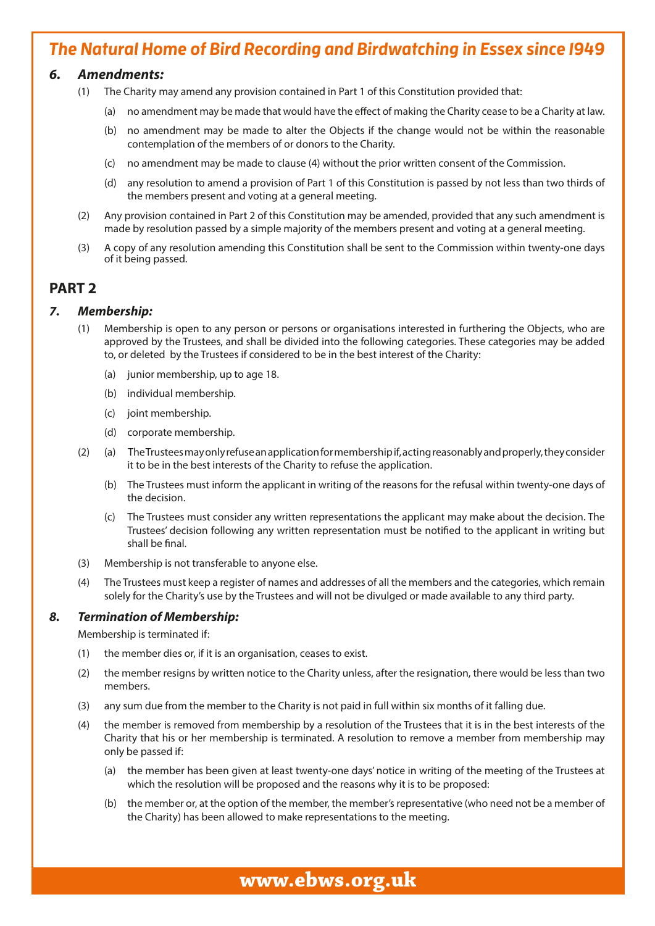### *6. Amendments:*

- (1) The Charity may amend any provision contained in Part 1 of this Constitution provided that:
	- (a) no amendment may be made that would have the effect of making the Charity cease to be a Charity at law.
	- (b) no amendment may be made to alter the Objects if the change would not be within the reasonable contemplation of the members of or donors to the Charity.
	- (c) no amendment may be made to clause (4) without the prior written consent of the Commission.
	- (d) any resolution to amend a provision of Part 1 of this Constitution is passed by not less than two thirds of the members present and voting at a general meeting.
- (2) Any provision contained in Part 2 of this Constitution may be amended, provided that any such amendment is made by resolution passed by a simple majority of the members present and voting at a general meeting.
- (3) A copy of any resolution amending this Constitution shall be sent to the Commission within twenty-one days of it being passed.

## **PART 2**

### *7. Membership:*

- (1) Membership is open to any person or persons or organisations interested in furthering the Objects, who are approved by the Trustees, and shall be divided into the following categories. These categories may be added to, or deleted by the Trustees if considered to be in the best interest of the Charity:
	- (a) junior membership, up to age 18.
	- (b) individual membership.
	- (c) joint membership.
	- (d) corporate membership.
- (2) (a) The Trustees may only refuse an application for membership if, acting reasonably and properly, they consider it to be in the best interests of the Charity to refuse the application.
	- (b) The Trustees must inform the applicant in writing of the reasons for the refusal within twenty-one days of the decision.
	- (c) The Trustees must consider any written representations the applicant may make about the decision. The Trustees' decision following any written representation must be notified to the applicant in writing but shall be final.
- (3) Membership is not transferable to anyone else.
- (4) The Trustees must keep a register of names and addresses of all the members and the categories, which remain solely for the Charity's use by the Trustees and will not be divulged or made available to any third party.

#### *8. Termination of Membership:*

Membership is terminated if:

- (1) the member dies or, if it is an organisation, ceases to exist.
- (2) the member resigns by written notice to the Charity unless, after the resignation, there would be less than two members.
- (3) any sum due from the member to the Charity is not paid in full within six months of it falling due.
- (4) the member is removed from membership by a resolution of the Trustees that it is in the best interests of the Charity that his or her membership is terminated. A resolution to remove a member from membership may only be passed if:
	- (a) the member has been given at least twenty-one days' notice in writing of the meeting of the Trustees at which the resolution will be proposed and the reasons why it is to be proposed:
	- (b) the member or, at the option of the member, the member's representative (who need not be a member of the Charity) has been allowed to make representations to the meeting.

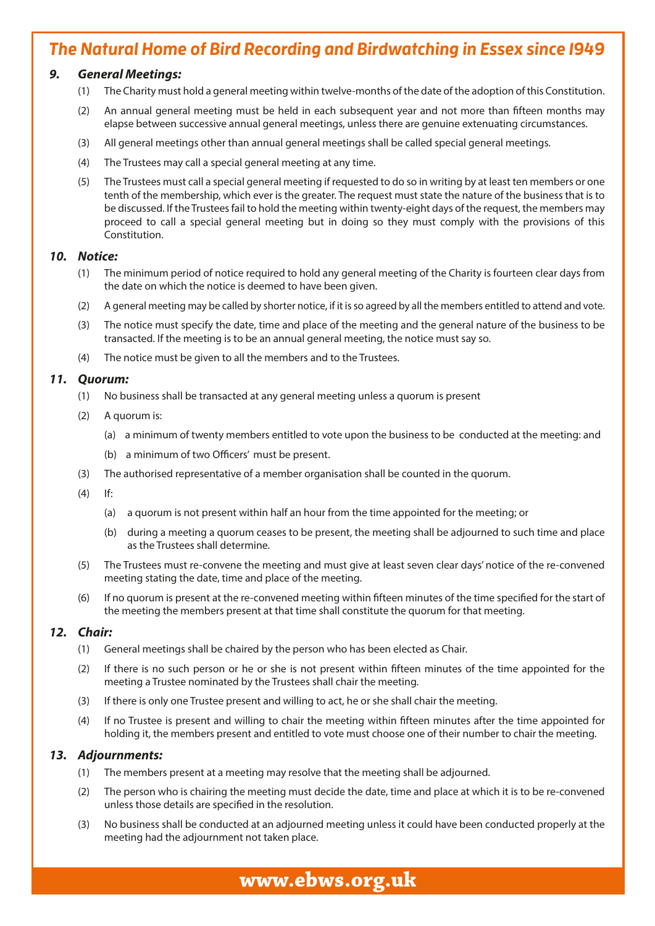### *9. General Meetings:*

- (1) The Charity must hold a general meeting within twelve-months of the date of the adoption of this Constitution.
- (2) An annual general meeting must be held in each subsequent year and not more than fifteen months may elapse between successive annual general meetings, unless there are genuine extenuating circumstances.
- (3) All general meetings other than annual general meetings shall be called special general meetings.
- (4) The Trustees may call a special general meeting at any time.
- (5) The Trustees must call a special general meeting if requested to do so in writing by at least ten members or one tenth of the membership, which ever is the greater. The request must state the nature of the business that is to be discussed. If the Trustees fail to hold the meeting within twenty-eight days of the request, the members may proceed to call a special general meeting but in doing so they must comply with the provisions of this Constitution.

#### *10. Notice:*

- (1) The minimum period of notice required to hold any general meeting of the Charity is fourteen clear days from the date on which the notice is deemed to have been given.
- (2) A general meeting may be called by shorter notice, if it is so agreed by all the members entitled to attend and vote.
- (3) The notice must specify the date, time and place of the meeting and the general nature of the business to be transacted. If the meeting is to be an annual general meeting, the notice must say so.
- (4) The notice must be given to all the members and to the Trustees.

### *11. Quorum:*

- (1) No business shall be transacted at any general meeting unless a quorum is present
- (2) A quorum is:
	- (a) a minimum of twenty members entitled to vote upon the business to be conducted at the meeting: and
	- (b) a minimum of two Officers' must be present.
- (3) The authorised representative of a member organisation shall be counted in the quorum.
- (4) If:
	- (a) a quorum is not present within half an hour from the time appointed for the meeting; or
	- (b) during a meeting a quorum ceases to be present, the meeting shall be adjourned to such time and place as the Trustees shall determine.
- (5) The Trustees must re-convene the meeting and must give at least seven clear days' notice of the re-convened meeting stating the date, time and place of the meeting.
- (6) If no quorum is present at the re-convened meeting within fifteen minutes of the time specified for the start of the meeting the members present at that time shall constitute the quorum for that meeting.

### *12. Chair:*

- (1) General meetings shall be chaired by the person who has been elected as Chair.
- (2) If there is no such person or he or she is not present within fifteen minutes of the time appointed for the meeting a Trustee nominated by the Trustees shall chair the meeting.
- (3) If there is only one Trustee present and willing to act, he or she shall chair the meeting.
- (4) If no Trustee is present and willing to chair the meeting within fifteen minutes after the time appointed for holding it, the members present and entitled to vote must choose one of their number to chair the meeting.

#### *13. Adjournments:*

- (1) The members present at a meeting may resolve that the meeting shall be adjourned.
- (2) The person who is chairing the meeting must decide the date, time and place at which it is to be re-convened unless those details are specified in the resolution.
- (3) No business shall be conducted at an adjourned meeting unless it could have been conducted properly at the meeting had the adjournment not taken place.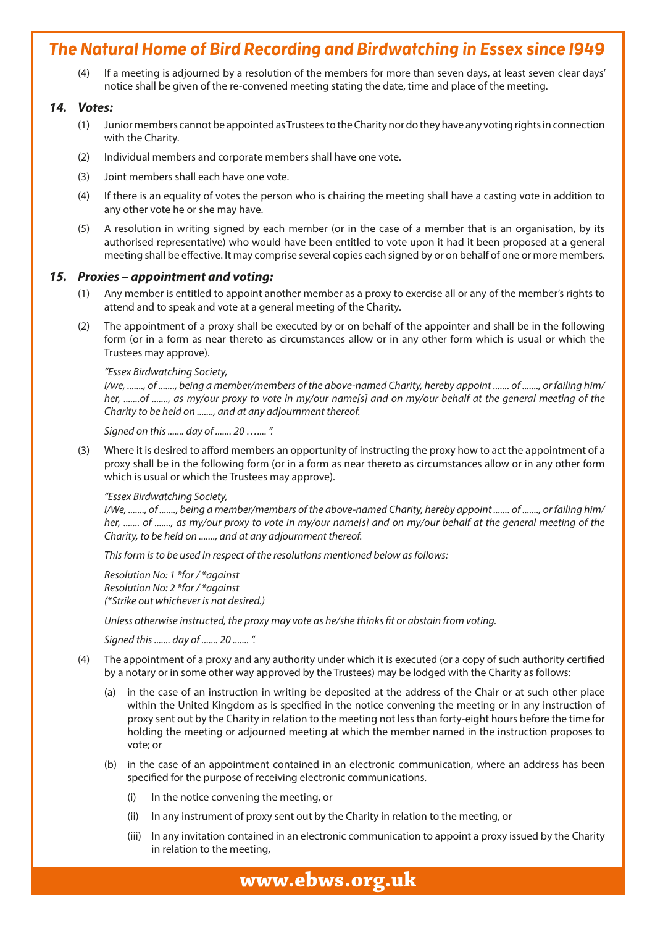(4) If a meeting is adjourned by a resolution of the members for more than seven days, at least seven clear days' notice shall be given of the re-convened meeting stating the date, time and place of the meeting.

#### *14. Votes:*

- (1) Junior members cannot be appointed as Trustees to the Charity nor do they have any voting rights in connection with the Charity.
- (2) Individual members and corporate members shall have one vote.
- (3) Joint members shall each have one vote.
- (4) If there is an equality of votes the person who is chairing the meeting shall have a casting vote in addition to any other vote he or she may have.
- (5) A resolution in writing signed by each member (or in the case of a member that is an organisation, by its authorised representative) who would have been entitled to vote upon it had it been proposed at a general meeting shall be effective. It may comprise several copies each signed by or on behalf of one or more members.

#### *15. Proxies – appointment and voting:*

- (1) Any member is entitled to appoint another member as a proxy to exercise all or any of the member's rights to attend and to speak and vote at a general meeting of the Charity.
- (2) The appointment of a proxy shall be executed by or on behalf of the appointer and shall be in the following form (or in a form as near thereto as circumstances allow or in any other form which is usual or which the Trustees may approve).

#### *"Essex Birdwatching Society,*

 *I/we, ......., of ......., being a member/members of the above-named Charity, hereby appoint ....... of ......., or failing him/ her, .......of ......., as my/our proxy to vote in my/our name[s] and on my/our behalf at the general meeting of the Charity to be held on ......., and at any adjournment thereof.*

 *Signed on this ....... day of ....... 20 ….... ".*

(3) Where it is desired to afford members an opportunity of instructing the proxy how to act the appointment of a proxy shall be in the following form (or in a form as near thereto as circumstances allow or in any other form which is usual or which the Trustees may approve).

#### *"Essex Birdwatching Society,*

 *I/We, ......., of ......., being a member/members of the above-named Charity, hereby appoint ....... of ......., or failing him/ her, ....... of ......., as my/our proxy to vote in my/our name[s] and on my/our behalf at the general meeting of the Charity, to be held on ......., and at any adjournment thereof.*

 *This form is to be used in respect of the resolutions mentioned below as follows:*

 *Resolution No: 1 \*for / \*against Resolution No: 2 \*for / \*against (\*Strike out whichever is not desired.)*

 *Unless otherwise instructed, the proxy may vote as he/she thinks fit or abstain from voting.*

 *Signed this ....... day of ....... 20 ....... ".*

- (4) The appointment of a proxy and any authority under which it is executed (or a copy of such authority certified by a notary or in some other way approved by the Trustees) may be lodged with the Charity as follows:
	- (a) in the case of an instruction in writing be deposited at the address of the Chair or at such other place within the United Kingdom as is specified in the notice convening the meeting or in any instruction of proxy sent out by the Charity in relation to the meeting not less than forty-eight hours before the time for holding the meeting or adjourned meeting at which the member named in the instruction proposes to vote; or
	- (b) in the case of an appointment contained in an electronic communication, where an address has been specified for the purpose of receiving electronic communications.
		- (i) In the notice convening the meeting, or
		- (ii) In any instrument of proxy sent out by the Charity in relation to the meeting, or
		- (iii) In any invitation contained in an electronic communication to appoint a proxy issued by the Charity in relation to the meeting,

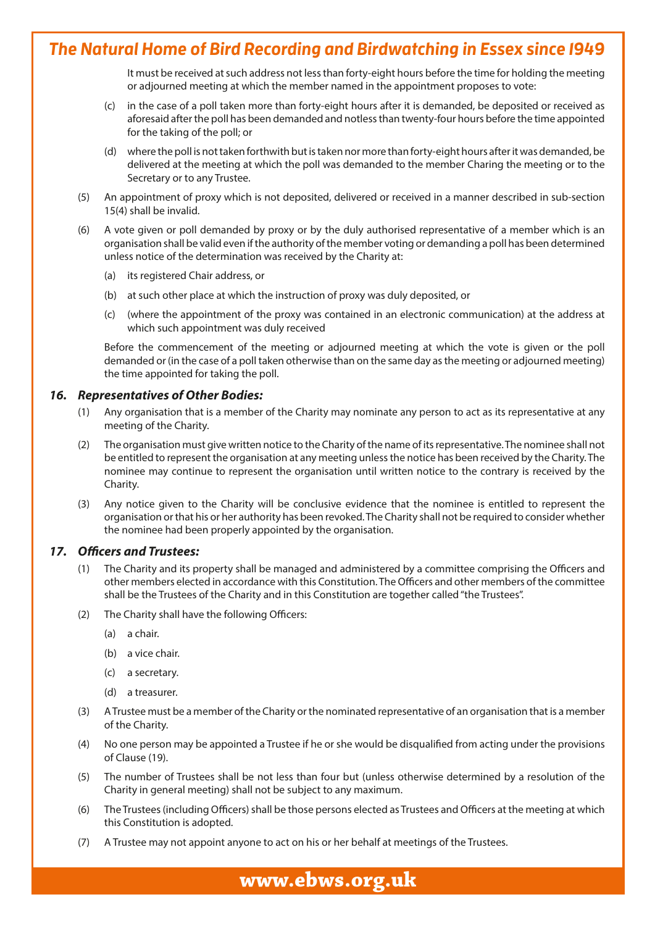It must be received at such address not less than forty-eight hours before the time for holding the meeting or adjourned meeting at which the member named in the appointment proposes to vote:

- (c) in the case of a poll taken more than forty-eight hours after it is demanded, be deposited or received as aforesaid after the poll has been demanded and notless than twenty-four hours before the time appointed for the taking of the poll; or
- (d) where the poll is not taken forthwith but is taken nor more than forty-eight hours after it was demanded, be delivered at the meeting at which the poll was demanded to the member Charing the meeting or to the Secretary or to any Trustee.
- (5) An appointment of proxy which is not deposited, delivered or received in a manner described in sub-section 15(4) shall be invalid.
- (6) A vote given or poll demanded by proxy or by the duly authorised representative of a member which is an organisation shall be valid even if the authority of the member voting or demanding a poll has been determined unless notice of the determination was received by the Charity at:
	- (a) its registered Chair address, or
	- (b) at such other place at which the instruction of proxy was duly deposited, or
	- (c) (where the appointment of the proxy was contained in an electronic communication) at the address at which such appointment was duly received

 Before the commencement of the meeting or adjourned meeting at which the vote is given or the poll demanded or (in the case of a poll taken otherwise than on the same day as the meeting or adjourned meeting) the time appointed for taking the poll.

#### *16. Representatives of Other Bodies:*

- (1) Any organisation that is a member of the Charity may nominate any person to act as its representative at any meeting of the Charity.
- (2) The organisation must give written notice to the Charity of the name of its representative. The nominee shall not be entitled to represent the organisation at any meeting unless the notice has been received by the Charity. The nominee may continue to represent the organisation until written notice to the contrary is received by the Charity.
- (3) Any notice given to the Charity will be conclusive evidence that the nominee is entitled to represent the organisation or that his or her authority has been revoked. The Charity shall not be required to consider whether the nominee had been properly appointed by the organisation.

#### *17. Officers and Trustees:*

- (1) The Charity and its property shall be managed and administered by a committee comprising the Officers and other members elected in accordance with this Constitution. The Officers and other members of the committee shall be the Trustees of the Charity and in this Constitution are together called "the Trustees".
- (2) The Charity shall have the following Officers:
	- (a) a chair.
	- (b) a vice chair.
	- (c) a secretary.
	- (d) a treasurer.
- (3) A Trustee must be a member of the Charity or the nominated representative of an organisation that is a member of the Charity.
- (4) No one person may be appointed a Trustee if he or she would be disqualified from acting under the provisions of Clause (19).
- (5) The number of Trustees shall be not less than four but (unless otherwise determined by a resolution of the Charity in general meeting) shall not be subject to any maximum.
- (6) The Trustees (including Officers) shall be those persons elected as Trustees and Officers at the meeting at which this Constitution is adopted.
- (7) A Trustee may not appoint anyone to act on his or her behalf at meetings of the Trustees.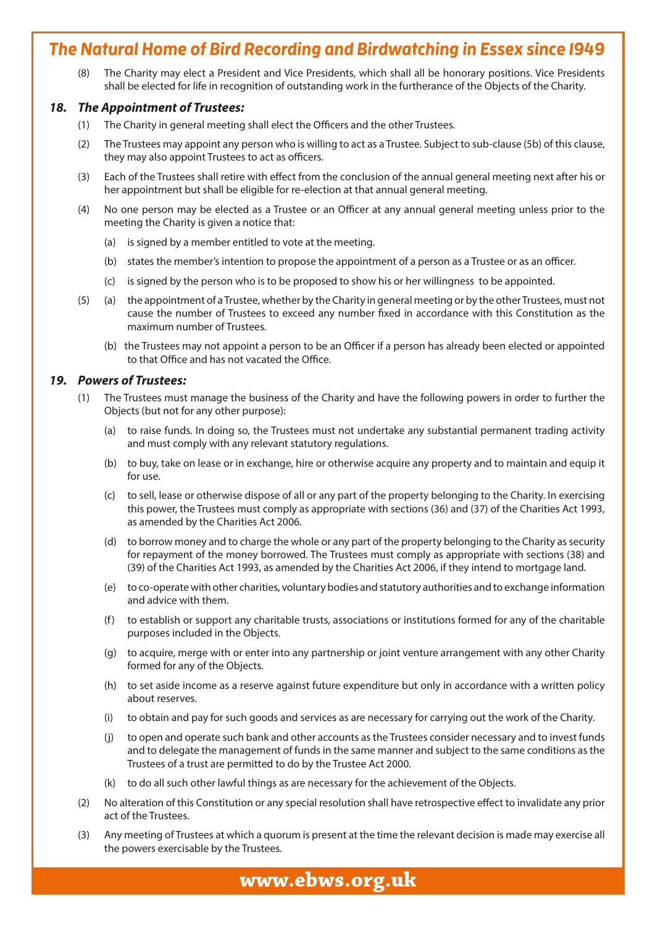(8) The Charity may elect a President and Vice Presidents, which shall all be honorary positions. Vice Presidents shall be elected for life in recognition of outstanding work in the furtherance of the Objects of the Charity.

### *18. The Appointment of Trustees:*

- (1) The Charity in general meeting shall elect the Officers and the other Trustees.
- (2) The Trustees may appoint any person who is willing to act as a Trustee. Subject to sub-clause (5b) of this clause, they may also appoint Trustees to act as officers.
- (3) Each of the Trustees shall retire with effect from the conclusion of the annual general meeting next after his or her appointment but shall be eligible for re-election at that annual general meeting.
- (4) No one person may be elected as a Trustee or an Officer at any annual general meeting unless prior to the meeting the Charity is given a notice that:
	- (a) is signed by a member entitled to vote at the meeting.
	- (b) states the member's intention to propose the appointment of a person as a Trustee or as an officer.
	- (c) is signed by the person who is to be proposed to show his or her willingness to be appointed.
- (5) (a) the appointment of a Trustee, whether by the Charity in general meeting or by the other Trustees, must not cause the number of Trustees to exceed any number fixed in accordance with this Constitution as the maximum number of Trustees.
	- (b) the Trustees may not appoint a person to be an Officer if a person has already been elected or appointed to that Office and has not vacated the Office.

### *19. Powers of Trustees:*

- (1) The Trustees must manage the business of the Charity and have the following powers in order to further the Objects (but not for any other purpose):
	- (a) to raise funds. In doing so, the Trustees must not undertake any substantial permanent trading activity and must comply with any relevant statutory regulations.
	- (b) to buy, take on lease or in exchange, hire or otherwise acquire any property and to maintain and equip it for use.
	- (c) to sell, lease or otherwise dispose of all or any part of the property belonging to the Charity. In exercising this power, the Trustees must comply as appropriate with sections (36) and (37) of the Charities Act 1993, as amended by the Charities Act 2006.
	- (d) to borrow money and to charge the whole or any part of the property belonging to the Charity as security for repayment of the money borrowed. The Trustees must comply as appropriate with sections (38) and (39) of the Charities Act 1993, as amended by the Charities Act 2006, if they intend to mortgage land.
	- (e) to co-operate with other charities, voluntary bodies and statutory authorities and to exchange information and advice with them.
	- (f) to establish or support any charitable trusts, associations or institutions formed for any of the charitable purposes included in the Objects.
	- (g) to acquire, merge with or enter into any partnership or joint venture arrangement with any other Charity formed for any of the Objects.
	- (h) to set aside income as a reserve against future expenditure but only in accordance with a written policy about reserves.
	- (i) to obtain and pay for such goods and services as are necessary for carrying out the work of the Charity.
	- (j) to open and operate such bank and other accounts as the Trustees consider necessary and to invest funds and to delegate the management of funds in the same manner and subject to the same conditions as the Trustees of a trust are permitted to do by the Trustee Act 2000.
	- (k) to do all such other lawful things as are necessary for the achievement of the Objects.
- (2) No alteration of this Constitution or any special resolution shall have retrospective effect to invalidate any prior act of the Trustees.
- (3) Any meeting of Trustees at which a quorum is present at the time the relevant decision is made may exercise all the powers exercisable by the Trustees.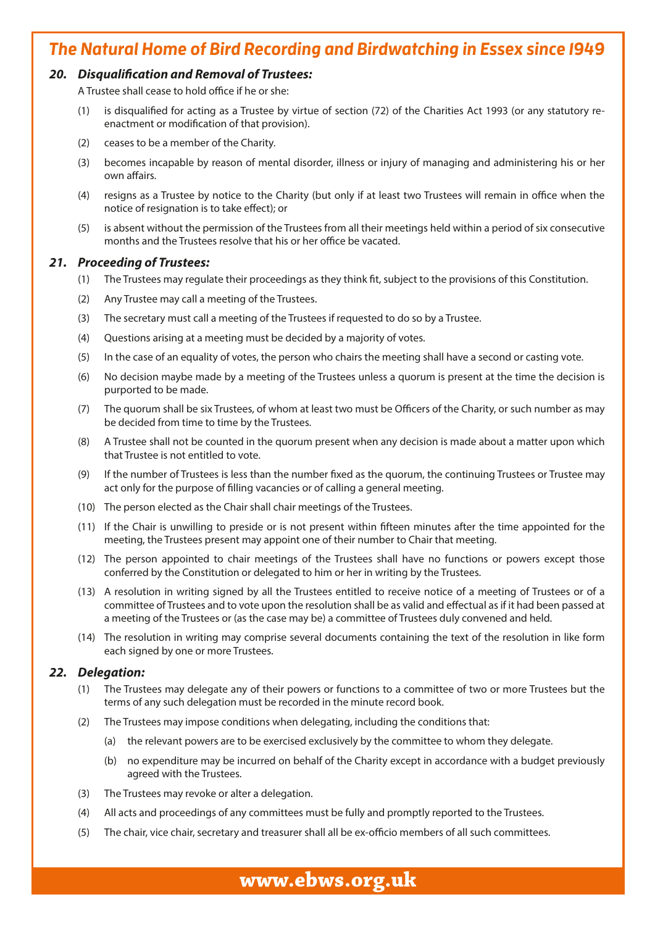### *20. Disqualification and Removal of Trustees:*

A Trustee shall cease to hold office if he or she:

- (1) is disqualified for acting as a Trustee by virtue of section (72) of the Charities Act 1993 (or any statutory re enactment or modification of that provision).
- (2) ceases to be a member of the Charity.
- (3) becomes incapable by reason of mental disorder, illness or injury of managing and administering his or her own affairs.
- (4) resigns as a Trustee by notice to the Charity (but only if at least two Trustees will remain in office when the notice of resignation is to take effect); or
- (5) is absent without the permission of the Trustees from all their meetings held within a period of six consecutive months and the Trustees resolve that his or her office be vacated.

### *21. Proceeding of Trustees:*

- (1) The Trustees may regulate their proceedings as they think fit, subject to the provisions of this Constitution.
- (2) Any Trustee may call a meeting of the Trustees.
- (3) The secretary must call a meeting of the Trustees if requested to do so by a Trustee.
- (4) Questions arising at a meeting must be decided by a majority of votes.
- (5) In the case of an equality of votes, the person who chairs the meeting shall have a second or casting vote.
- (6) No decision maybe made by a meeting of the Trustees unless a quorum is present at the time the decision is purported to be made.
- (7) The quorum shall be six Trustees, of whom at least two must be Officers of the Charity, or such number as may be decided from time to time by the Trustees.
- (8) A Trustee shall not be counted in the quorum present when any decision is made about a matter upon which that Trustee is not entitled to vote.
- (9) If the number of Trustees is less than the number fixed as the quorum, the continuing Trustees or Trustee may act only for the purpose of filling vacancies or of calling a general meeting.
- (10) The person elected as the Chair shall chair meetings of the Trustees.
- (11) If the Chair is unwilling to preside or is not present within fifteen minutes after the time appointed for the meeting, the Trustees present may appoint one of their number to Chair that meeting.
- (12) The person appointed to chair meetings of the Trustees shall have no functions or powers except those conferred by the Constitution or delegated to him or her in writing by the Trustees.
- (13) A resolution in writing signed by all the Trustees entitled to receive notice of a meeting of Trustees or of a committee of Trustees and to vote upon the resolution shall be as valid and effectual as if it had been passed at a meeting of the Trustees or (as the case may be) a committee of Trustees duly convened and held.
- (14) The resolution in writing may comprise several documents containing the text of the resolution in like form each signed by one or more Trustees.

#### *22. Delegation:*

- (1) The Trustees may delegate any of their powers or functions to a committee of two or more Trustees but the terms of any such delegation must be recorded in the minute record book.
- (2) The Trustees may impose conditions when delegating, including the conditions that:
	- (a) the relevant powers are to be exercised exclusively by the committee to whom they delegate.
	- (b) no expenditure may be incurred on behalf of the Charity except in accordance with a budget previously agreed with the Trustees.
- (3) The Trustees may revoke or alter a delegation.
- (4) All acts and proceedings of any committees must be fully and promptly reported to the Trustees.
- (5) The chair, vice chair, secretary and treasurer shall all be ex-officio members of all such committees.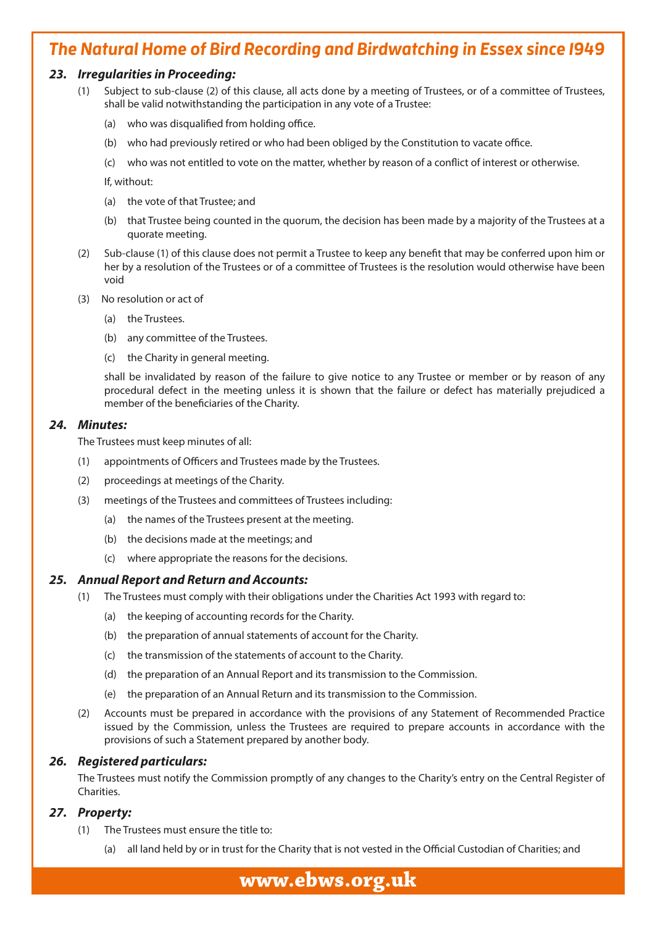### *23. Irregularities in Proceeding:*

- (1) Subject to sub-clause (2) of this clause, all acts done by a meeting of Trustees, or of a committee of Trustees, shall be valid notwithstanding the participation in any vote of a Trustee:
	- (a) who was disqualified from holding office.
	- (b) who had previously retired or who had been obliged by the Constitution to vacate office.
	- who was not entitled to vote on the matter, whether by reason of a conflict of interest or otherwise.

If, without:

- (a) the vote of that Trustee; and
- (b) that Trustee being counted in the quorum, the decision has been made by a majority of the Trustees at a quorate meeting.
- (2) Sub-clause (1) of this clause does not permit a Trustee to keep any benefit that may be conferred upon him or her by a resolution of the Trustees or of a committee of Trustees is the resolution would otherwise have been void
- (3) No resolution or act of
	- (a) the Trustees.
	- (b) any committee of the Trustees.
	- (c) the Charity in general meeting.

 shall be invalidated by reason of the failure to give notice to any Trustee or member or by reason of any procedural defect in the meeting unless it is shown that the failure or defect has materially prejudiced a member of the beneficiaries of the Charity.

#### *24. Minutes:*

The Trustees must keep minutes of all:

- (1) appointments of Officers and Trustees made by the Trustees.
- (2) proceedings at meetings of the Charity.
- (3) meetings of the Trustees and committees of Trustees including:
	- (a) the names of the Trustees present at the meeting.
	- (b) the decisions made at the meetings; and
	- (c) where appropriate the reasons for the decisions.

#### *25. Annual Report and Return and Accounts:*

- (1) The Trustees must comply with their obligations under the Charities Act 1993 with regard to:
	- (a) the keeping of accounting records for the Charity.
	- (b) the preparation of annual statements of account for the Charity.
	- (c) the transmission of the statements of account to the Charity.
	- (d) the preparation of an Annual Report and its transmission to the Commission.
	- (e) the preparation of an Annual Return and its transmission to the Commission.
- (2) Accounts must be prepared in accordance with the provisions of any Statement of Recommended Practice issued by the Commission, unless the Trustees are required to prepare accounts in accordance with the provisions of such a Statement prepared by another body.

#### *26. Registered particulars:*

The Trustees must notify the Commission promptly of any changes to the Charity's entry on the Central Register of **Charities** 

#### *27. Property:*

- (1) The Trustees must ensure the title to:
	- (a) all land held by or in trust for the Charity that is not vested in the Official Custodian of Charities; and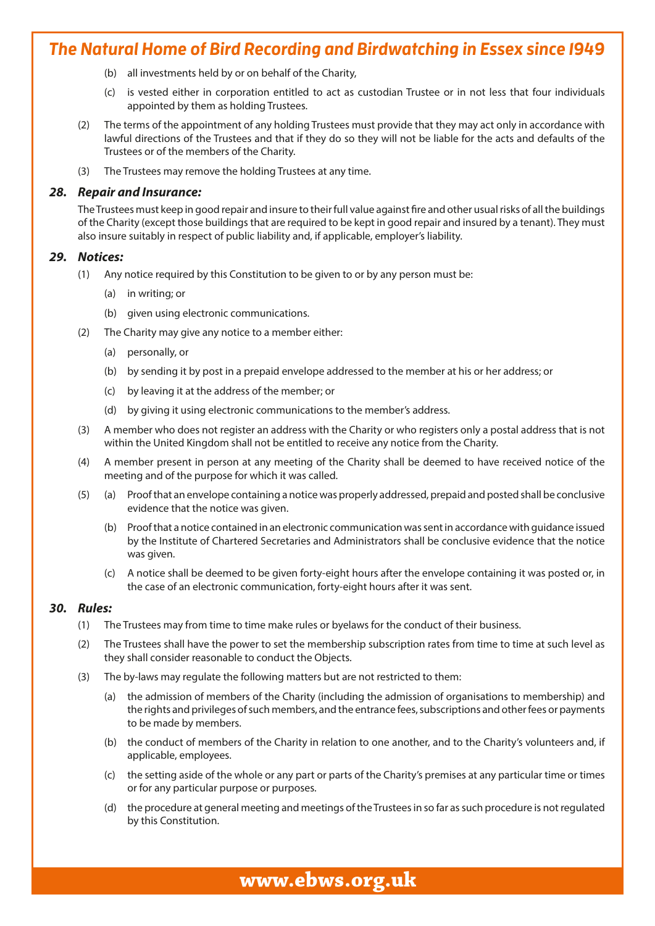- (b) all investments held by or on behalf of the Charity,
- (c) is vested either in corporation entitled to act as custodian Trustee or in not less that four individuals appointed by them as holding Trustees.
- (2) The terms of the appointment of any holding Trustees must provide that they may act only in accordance with lawful directions of the Trustees and that if they do so they will not be liable for the acts and defaults of the Trustees or of the members of the Charity.
- (3) The Trustees may remove the holding Trustees at any time.

#### *28. Repair and Insurance:*

The Trustees must keep in good repair and insure to their full value against fire and other usual risks of all the buildings of the Charity (except those buildings that are required to be kept in good repair and insured by a tenant). They must also insure suitably in respect of public liability and, if applicable, employer's liability.

#### *29. Notices:*

- (1) Any notice required by this Constitution to be given to or by any person must be:
	- (a) in writing; or
	- (b) given using electronic communications.
- (2) The Charity may give any notice to a member either:
	- (a) personally, or
	- (b) by sending it by post in a prepaid envelope addressed to the member at his or her address; or
	- (c) by leaving it at the address of the member; or
	- (d) by giving it using electronic communications to the member's address.
- (3) A member who does not register an address with the Charity or who registers only a postal address that is not within the United Kingdom shall not be entitled to receive any notice from the Charity.
- (4) A member present in person at any meeting of the Charity shall be deemed to have received notice of the meeting and of the purpose for which it was called.
- (5) (a) Proof that an envelope containing a notice was properly addressed, prepaid and posted shall be conclusive evidence that the notice was given.
	- (b) Proof that a notice contained in an electronic communication was sent in accordance with guidance issued by the Institute of Chartered Secretaries and Administrators shall be conclusive evidence that the notice was given.
	- (c) A notice shall be deemed to be given forty-eight hours after the envelope containing it was posted or, in the case of an electronic communication, forty-eight hours after it was sent.

#### *30. Rules:*

- (1) The Trustees may from time to time make rules or byelaws for the conduct of their business.
- (2) The Trustees shall have the power to set the membership subscription rates from time to time at such level as they shall consider reasonable to conduct the Objects.
- (3) The by-laws may regulate the following matters but are not restricted to them:
	- (a) the admission of members of the Charity (including the admission of organisations to membership) and the rights and privileges of such members, and the entrance fees, subscriptions and other fees or payments to be made by members.
	- (b) the conduct of members of the Charity in relation to one another, and to the Charity's volunteers and, if applicable, employees.
	- (c) the setting aside of the whole or any part or parts of the Charity's premises at any particular time or times or for any particular purpose or purposes.
	- (d) the procedure at general meeting and meetings of the Trustees in so far as such procedure is not regulated by this Constitution.